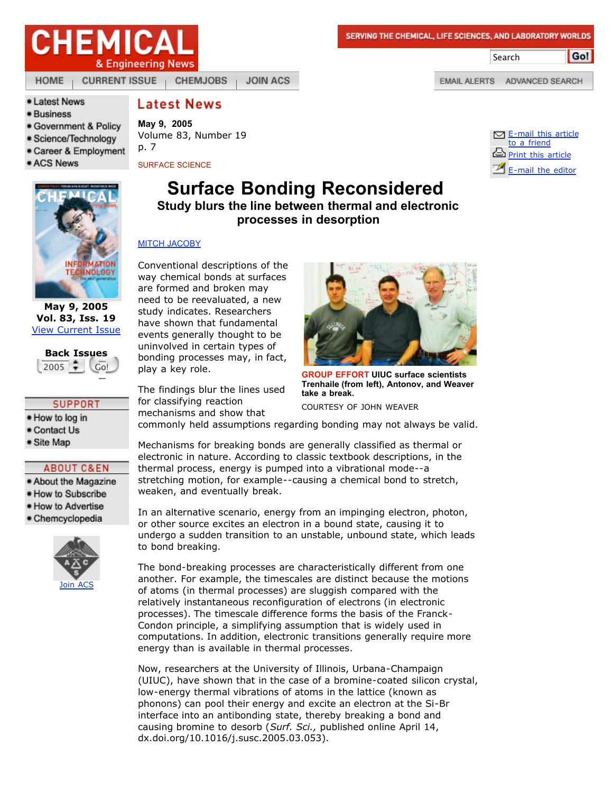

**CURRENT ISSUE** 

Search

Go!

EMAIL ALERTS ADVANCED SEARCH

• Latest News

· Science/Technology **Career & Employment** 

# **Latest News**

· Business · Government & Policy

• ACS News

**HOME** 

**May 9, 2005**

Volume 83, Number 19 p. 7

**CHEMJOBS** 

SURFACE SCIENCE



**May 9, 2005 Vol. 83, Iss. 19** View Current Issue



#### **SUPPORT**

## . How to log in

- Contact Us
- · Site Map

## **ABOUT C&EN**

- . About the Magazine
- . How to Subscribe
- . How to Advertise
- · Chemcyclopedia



## **Surface Bonding Reconsidered Study blurs the line between thermal and electronic processes in desorption**

**JOIN ACS** 

#### MITCH JACOBY

Conventional descriptions of the way chemical bonds at surfaces are formed and broken may need to be reevaluated, a new study indicates. Researchers have shown that fundamental events generally thought to be uninvolved in certain types of bonding processes may, in fact, play a key role.

The findings blur the lines used for classifying reaction mechanisms and show that



**GROUP EFFORT UIUC surface scientists Trenhaile (from left), Antonov, and Weaver take a break.**

COURTESY OF JOHN WEAVER

commonly held assumptions regarding bonding may not always be valid.

Mechanisms for breaking bonds are generally classified as thermal or electronic in nature. According to classic textbook descriptions, in the thermal process, energy is pumped into a vibrational mode--a stretching motion, for example--causing a chemical bond to stretch, weaken, and eventually break.

In an alternative scenario, energy from an impinging electron, photon, or other source excites an electron in a bound state, causing it to undergo a sudden transition to an unstable, unbound state, which leads to bond breaking.

The bond-breaking processes are characteristically different from one another. For example, the timescales are distinct because the motions of atoms (in thermal processes) are sluggish compared with the relatively instantaneous reconfiguration of electrons (in electronic processes). The timescale difference forms the basis of the Franck-Condon principle, a simplifying assumption that is widely used in computations. In addition, electronic transitions generally require more energy than is available in thermal processes.

Now, researchers at the University of Illinois, Urbana-Champaign (UIUC), have shown that in the case of a bromine-coated silicon crystal, low-energy thermal vibrations of atoms in the lattice (known as phonons) can pool their energy and excite an electron at the Si-Br interface into an antibonding state, thereby breaking a bond and causing bromine to desorb (*Surf. Sci.,* published online April 14, dx.doi.org/10.1016/j.susc.2005.03.053).